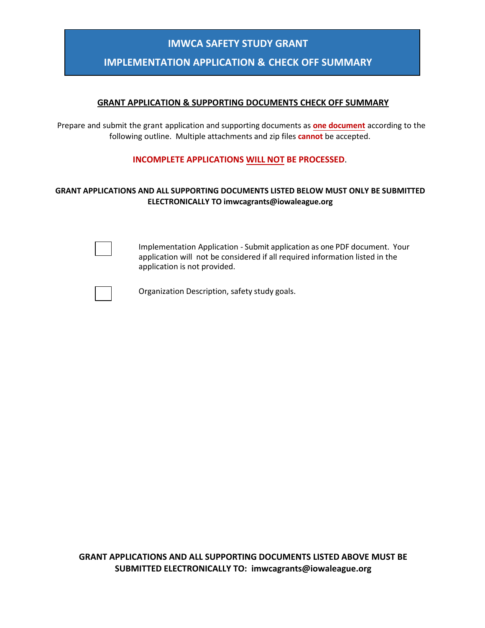## **IMWCA SAFETY STUDY GRANT**

## **IMPLEMENTATION APPLICATION & CHECK OFF SUMMARY**

#### **GRANT APPLICATION & SUPPORTING DOCUMENTS CHECK OFF SUMMARY**

Prepare and submit the grant application and supporting documents as **one document** according to the following outline. Multiple attachments and zip files **cannot** be accepted.

#### **INCOMPLETE APPLICATIONS WILL NOT BE PROCESSED**.

#### **GRANT APPLICATIONS AND ALL SUPPORTING DOCUMENTS LISTED BELOW MUST ONLY BE SUBMITTED ELECTRONICALLY TO imwcagrants@iowaleague.org**

Implementation Application - Submit application as one PDF document. Your application will not be considered if all required information listed in the application is not provided.



Organization Description, safety study goals.

**GRANT APPLICATIONS AND ALL SUPPORTING DOCUMENTS LISTED ABOVE MUST BE SUBMITTED ELECTRONICALLY TO: imwcagrants@iowaleague.org**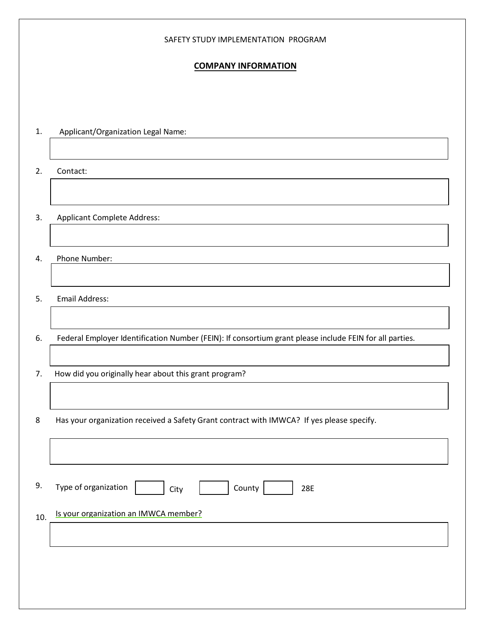#### SAFETY STUDY IMPLEMENTATION PROGRAM

### **COMPANY INFORMATION**

| 1.  | Applicant/Organization Legal Name:                                                                      |  |  |  |  |
|-----|---------------------------------------------------------------------------------------------------------|--|--|--|--|
|     |                                                                                                         |  |  |  |  |
| 2.  | Contact:                                                                                                |  |  |  |  |
|     |                                                                                                         |  |  |  |  |
| 3.  | <b>Applicant Complete Address:</b>                                                                      |  |  |  |  |
|     |                                                                                                         |  |  |  |  |
| 4.  | Phone Number:                                                                                           |  |  |  |  |
|     |                                                                                                         |  |  |  |  |
| 5.  | <b>Email Address:</b>                                                                                   |  |  |  |  |
|     |                                                                                                         |  |  |  |  |
| 6.  | Federal Employer Identification Number (FEIN): If consortium grant please include FEIN for all parties. |  |  |  |  |
| 7.  | How did you originally hear about this grant program?                                                   |  |  |  |  |
|     |                                                                                                         |  |  |  |  |
| 8   | Has your organization received a Safety Grant contract with IMWCA? If yes please specify.               |  |  |  |  |
|     |                                                                                                         |  |  |  |  |
|     |                                                                                                         |  |  |  |  |
| 9.  | Type of organization<br>County                                                                          |  |  |  |  |
|     | 28E<br>City                                                                                             |  |  |  |  |
| 10. | Is your organization an IMWCA member?                                                                   |  |  |  |  |
|     |                                                                                                         |  |  |  |  |
|     |                                                                                                         |  |  |  |  |
|     |                                                                                                         |  |  |  |  |
|     |                                                                                                         |  |  |  |  |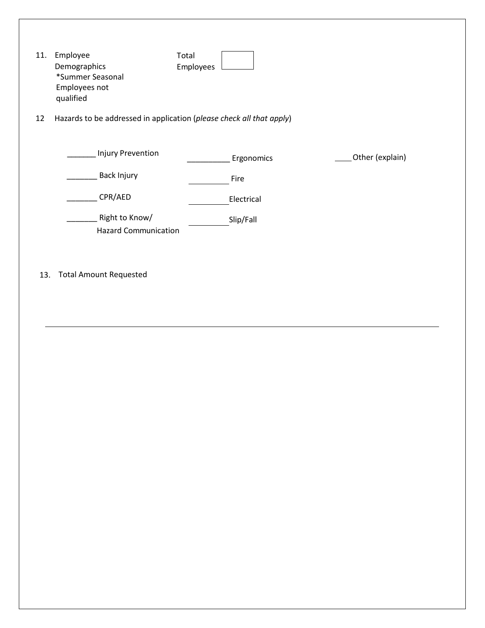| 11.                                                                        | Employee<br>Demographics<br>*Summer Seasonal<br>Employees not<br>qualified | Total<br>Employees |                 |  |
|----------------------------------------------------------------------------|----------------------------------------------------------------------------|--------------------|-----------------|--|
| Hazards to be addressed in application (please check all that apply)<br>12 |                                                                            |                    |                 |  |
|                                                                            | <b>Injury Prevention</b>                                                   | Ergonomics         | Other (explain) |  |
|                                                                            | Back Injury                                                                | Fire               |                 |  |
|                                                                            | CPR/AED                                                                    | Electrical         |                 |  |
|                                                                            | Right to Know/<br><b>Hazard Communication</b>                              | Slip/Fall          |                 |  |
| 13.                                                                        | <b>Total Amount Requested</b>                                              |                    |                 |  |
|                                                                            |                                                                            |                    |                 |  |
|                                                                            |                                                                            |                    |                 |  |
|                                                                            |                                                                            |                    |                 |  |
|                                                                            |                                                                            |                    |                 |  |
|                                                                            |                                                                            |                    |                 |  |
|                                                                            |                                                                            |                    |                 |  |
|                                                                            |                                                                            |                    |                 |  |
|                                                                            |                                                                            |                    |                 |  |
|                                                                            |                                                                            |                    |                 |  |
|                                                                            |                                                                            |                    |                 |  |